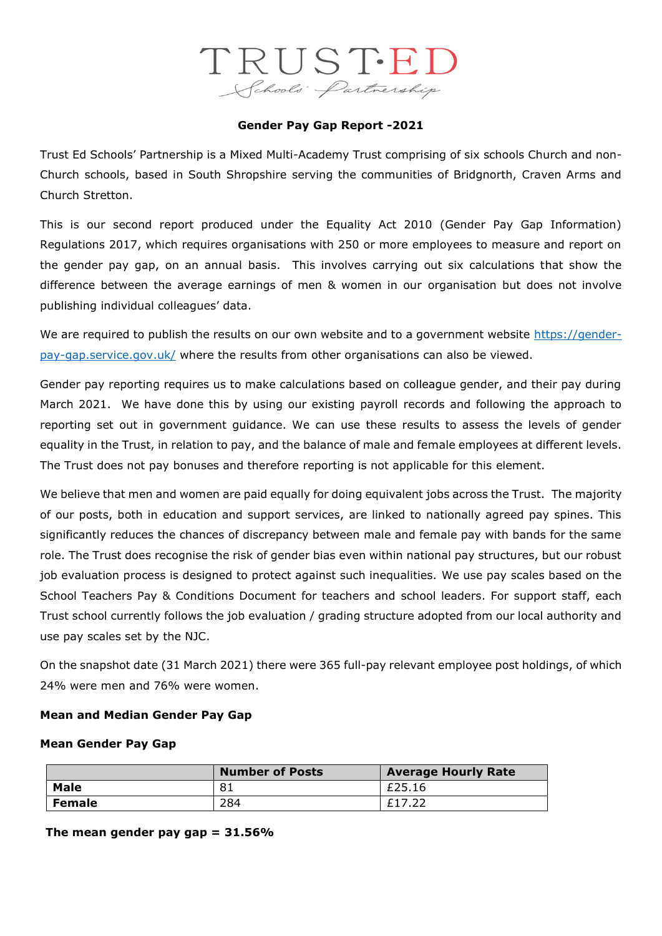# TRUSTED Schools Partnership

# **Gender Pay Gap Report -2021**

Trust Ed Schools' Partnership is a Mixed Multi-Academy Trust comprising of six schools Church and non-Church schools, based in South Shropshire serving the communities of Bridgnorth, Craven Arms and Church Stretton.

This is our second report produced under the Equality Act 2010 (Gender Pay Gap Information) Regulations 2017, which requires organisations with 250 or more employees to measure and report on the gender pay gap, on an annual basis. This involves carrying out six calculations that show the difference between the average earnings of men & women in our organisation but does not involve publishing individual colleagues' data.

We are required to publish the results on our own website and to a government website [https://gender](https://gender-pay-gap.service.gov.uk/)[pay-gap.service.gov.uk/](https://gender-pay-gap.service.gov.uk/) where the results from other organisations can also be viewed.

Gender pay reporting requires us to make calculations based on colleague gender, and their pay during March 2021. We have done this by using our existing payroll records and following the approach to reporting set out in government guidance. We can use these results to assess the levels of gender equality in the Trust, in relation to pay, and the balance of male and female employees at different levels. The Trust does not pay bonuses and therefore reporting is not applicable for this element.

We believe that men and women are paid equally for doing equivalent jobs across the Trust. The majority of our posts, both in education and support services, are linked to nationally agreed pay spines. This significantly reduces the chances of discrepancy between male and female pay with bands for the same role. The Trust does recognise the risk of gender bias even within national pay structures, but our robust job evaluation process is designed to protect against such inequalities. We use pay scales based on the School Teachers Pay & Conditions Document for teachers and school leaders. For support staff, each Trust school currently follows the job evaluation / grading structure adopted from our local authority and use pay scales set by the NJC.

On the snapshot date (31 March 2021) there were 365 full-pay relevant employee post holdings, of which 24% were men and 76% were women.

# **Mean and Median Gender Pay Gap**

#### **Mean Gender Pay Gap**

|               | <b>Number of Posts</b> | <b>Average Hourly Rate</b> |  |
|---------------|------------------------|----------------------------|--|
| <b>Male</b>   | 81                     | £25.16                     |  |
| <b>Female</b> | 284                    | £17.22                     |  |

**The mean gender pay gap = 31.56%**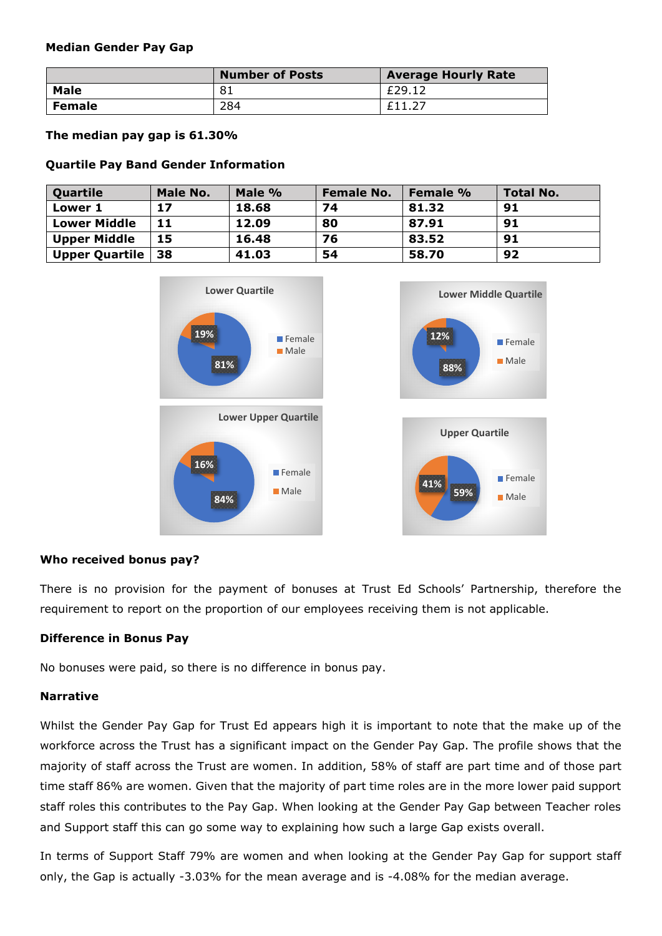#### **Median Gender Pay Gap**

|               | <b>Number of Posts</b> | <b>Average Hourly Rate</b> |  |
|---------------|------------------------|----------------------------|--|
| <b>Male</b>   | 81                     | £29.12                     |  |
| <b>Female</b> | 284                    | £11.27                     |  |

**The median pay gap is 61.30%**

# **Quartile Pay Band Gender Information**

| Quartile              | <b>Male No.</b> | Male % | <b>Female No.</b> | <b>Female %</b> | <b>Total No.</b> |
|-----------------------|-----------------|--------|-------------------|-----------------|------------------|
| <b>Lower 1</b>        | 17              | 18.68  | 74                | 81.32           | 91               |
| <b>Lower Middle</b>   | 11              | 12.09  | 80                | 87.91           | 91               |
| <b>Upper Middle</b>   | 15              | 16.48  | 76                | 83.52           | 91               |
| <b>Upper Quartile</b> | l 38            | 41.03  | 54                | 58.70           | 92               |



# **Who received bonus pay?**

There is no provision for the payment of bonuses at Trust Ed Schools' Partnership, therefore the requirement to report on the proportion of our employees receiving them is not applicable.

# **Difference in Bonus Pay**

No bonuses were paid, so there is no difference in bonus pay.

# **Narrative**

Whilst the Gender Pay Gap for Trust Ed appears high it is important to note that the make up of the workforce across the Trust has a significant impact on the Gender Pay Gap. The profile shows that the majority of staff across the Trust are women. In addition, 58% of staff are part time and of those part time staff 86% are women. Given that the majority of part time roles are in the more lower paid support staff roles this contributes to the Pay Gap. When looking at the Gender Pay Gap between Teacher roles and Support staff this can go some way to explaining how such a large Gap exists overall.

In terms of Support Staff 79% are women and when looking at the Gender Pay Gap for support staff only, the Gap is actually -3.03% for the mean average and is -4.08% for the median average.